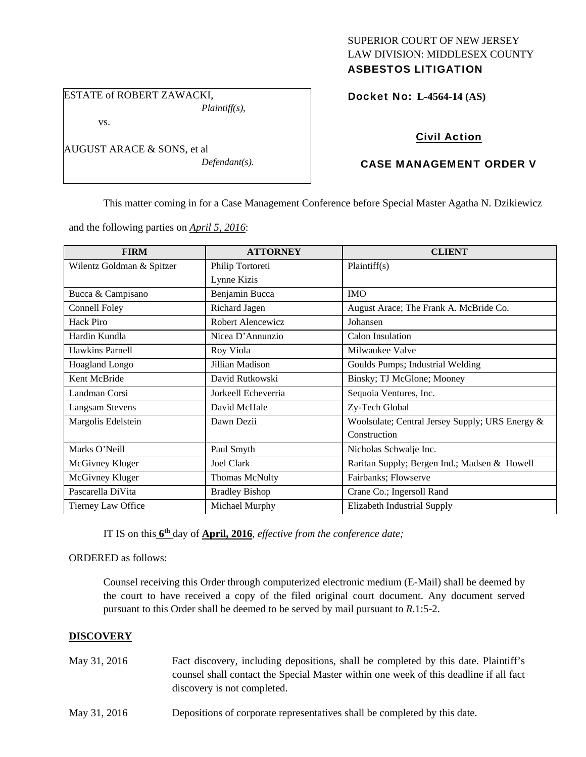# SUPERIOR COURT OF NEW JERSEY LAW DIVISION: MIDDLESEX COUNTY

## ASBESTOS LITIGATION

ESTATE of ROBERT ZAWACKI, *Plaintiff(s),* 

vs.

AUGUST ARACE & SONS, et al *Defendant(s).*  Docket No: **L-4564-14 (AS)** 

## Civil Action

### CASE MANAGEMENT ORDER V

This matter coming in for a Case Management Conference before Special Master Agatha N. Dzikiewicz

and the following parties on *April 5, 2016*:

| <b>FIRM</b>               | <b>ATTORNEY</b>       | <b>CLIENT</b>                                   |
|---------------------------|-----------------------|-------------------------------------------------|
| Wilentz Goldman & Spitzer | Philip Tortoreti      | Plaintiff(s)                                    |
|                           | Lynne Kizis           |                                                 |
| Bucca & Campisano         | Benjamin Bucca        | <b>IMO</b>                                      |
| Connell Foley             | Richard Jagen         | August Arace; The Frank A. McBride Co.          |
| Hack Piro                 | Robert Alencewicz     | Johansen                                        |
| Hardin Kundla             | Nicea D'Annunzio      | Calon Insulation                                |
| Hawkins Parnell           | Roy Viola             | Milwaukee Valve                                 |
| Hoagland Longo            | Jillian Madison       | Goulds Pumps; Industrial Welding                |
| Kent McBride              | David Rutkowski       | Binsky; TJ McGlone; Mooney                      |
| Landman Corsi             | Jorkeell Echeverria   | Sequoia Ventures, Inc.                          |
| Langsam Stevens           | David McHale          | Zy-Tech Global                                  |
| Margolis Edelstein        | Dawn Dezii            | Woolsulate; Central Jersey Supply; URS Energy & |
|                           |                       | Construction                                    |
| Marks O'Neill             | Paul Smyth            | Nicholas Schwalje Inc.                          |
| McGivney Kluger           | Joel Clark            | Raritan Supply; Bergen Ind.; Madsen & Howell    |
| McGivney Kluger           | <b>Thomas McNulty</b> | Fairbanks; Flowserve                            |
| Pascarella DiVita         | <b>Bradley Bishop</b> | Crane Co.; Ingersoll Rand                       |
| Tierney Law Office        | Michael Murphy        | Elizabeth Industrial Supply                     |

IT IS on this **6th** day of **April, 2016**, *effective from the conference date;*

ORDERED as follows:

Counsel receiving this Order through computerized electronic medium (E-Mail) shall be deemed by the court to have received a copy of the filed original court document. Any document served pursuant to this Order shall be deemed to be served by mail pursuant to *R*.1:5-2.

#### **DISCOVERY**

- May 31, 2016 Fact discovery, including depositions, shall be completed by this date. Plaintiff's counsel shall contact the Special Master within one week of this deadline if all fact discovery is not completed.
- May 31, 2016 Depositions of corporate representatives shall be completed by this date.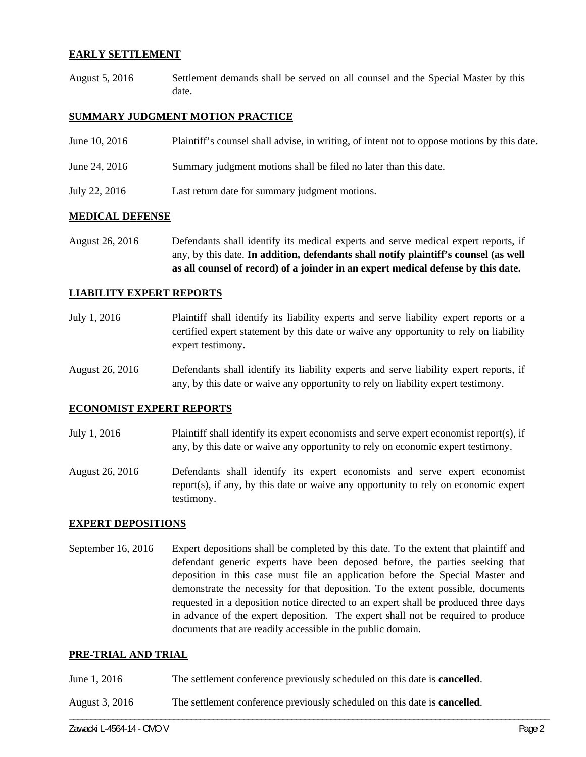#### **EARLY SETTLEMENT**

August 5, 2016 Settlement demands shall be served on all counsel and the Special Master by this date.

#### **SUMMARY JUDGMENT MOTION PRACTICE**

| June 10, 2016 | Plaintiff's counsel shall advise, in writing, of intent not to oppose motions by this date. |
|---------------|---------------------------------------------------------------------------------------------|
| June 24, 2016 | Summary judgment motions shall be filed no later than this date.                            |
| July 22, 2016 | Last return date for summary judgment motions.                                              |

#### **MEDICAL DEFENSE**

August 26, 2016 Defendants shall identify its medical experts and serve medical expert reports, if any, by this date. **In addition, defendants shall notify plaintiff's counsel (as well as all counsel of record) of a joinder in an expert medical defense by this date.** 

#### **LIABILITY EXPERT REPORTS**

- July 1, 2016 Plaintiff shall identify its liability experts and serve liability expert reports or a certified expert statement by this date or waive any opportunity to rely on liability expert testimony.
- August 26, 2016 Defendants shall identify its liability experts and serve liability expert reports, if any, by this date or waive any opportunity to rely on liability expert testimony.

#### **ECONOMIST EXPERT REPORTS**

- July 1, 2016 Plaintiff shall identify its expert economists and serve expert economist report(s), if any, by this date or waive any opportunity to rely on economic expert testimony.
- August 26, 2016 Defendants shall identify its expert economists and serve expert economist report(s), if any, by this date or waive any opportunity to rely on economic expert testimony.

#### **EXPERT DEPOSITIONS**

September 16, 2016 Expert depositions shall be completed by this date. To the extent that plaintiff and defendant generic experts have been deposed before, the parties seeking that deposition in this case must file an application before the Special Master and demonstrate the necessity for that deposition. To the extent possible, documents requested in a deposition notice directed to an expert shall be produced three days in advance of the expert deposition. The expert shall not be required to produce documents that are readily accessible in the public domain.

#### **PRE-TRIAL AND TRIAL**

- June 1, 2016 The settlement conference previously scheduled on this date is **cancelled**.
- August 3, 2016 The settlement conference previously scheduled on this date is **cancelled**.

\_\_\_\_\_\_\_\_\_\_\_\_\_\_\_\_\_\_\_\_\_\_\_\_\_\_\_\_\_\_\_\_\_\_\_\_\_\_\_\_\_\_\_\_\_\_\_\_\_\_\_\_\_\_\_\_\_\_\_\_\_\_\_\_\_\_\_\_\_\_\_\_\_\_\_\_\_\_\_\_\_\_\_\_\_\_\_\_\_\_\_\_\_\_\_\_\_\_\_\_\_\_\_\_\_\_\_\_\_\_